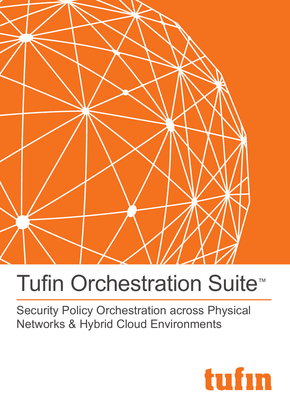

# Tufin Orchestration Suite<sup>™</sup>

Security Policy Orchestration across Physical Networks & Hybrid Cloud Environments

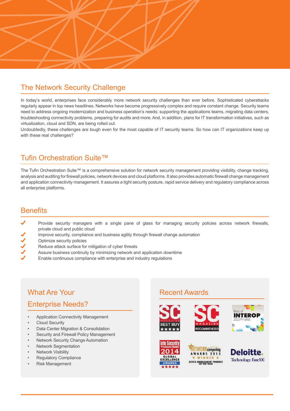

## The Network Security Challenge

In today's world, enterprises face considerably more network security challenges than ever before. Sophisticated cyberattacks regularly appear in top news headlines. Networks have become progressively complex and require constant change. Security teams need to address ongoing modernization and business operation's needs: supporting the applications teams, migrating data centers, troubleshooting connectivity problems, preparing for audits and more. And, in addition, plans for IT transformation initiatives, such as virtualization, cloud and SDN, are being rolled out.

Undoubtedly, these challenges are tough even for the most capable of IT security teams. So how can IT organizations keep up with these real challenges?

## Tufin Orchestration Suite™

The Tufin Orchestration Suite™ is a comprehensive solution for network security management providing visibility, change tracking, analysis and auditing for firewall policies, network devices and cloud platforms. It also provides automatic firewall change management and application connectivity management. It assures a tight security posture, rapid service delivery and regulatory compliance across all enterprise platforms.

## **Benefits**

- Provide security managers with a single pane of glass for managing security policies across network firewalls, private cloud and public cloud
- Improve security, compliance and business agility through firewall change automation
- 111111 Optimize security policies
- Reduce attack surface for mitigation of cyber threats
- Assure business continuity by minimizing network and application downtime
- Enable continuous compliance with enterprise and industry regulations

## What Are Your Enterprise Needs?

- Application Connectivity Management
- Cloud Security
- Data Center Migration & Consolidation
- Security and Firewall Policy Management
- Network Security Change Automation
- Network Segmentation
- **Network Visibility**
- **Regulatory Compliance**
- Risk Management

## Recent Awards









NETWORKcomputing **ARDS 2015** DEVICE MANAGEMENT PRODUCT

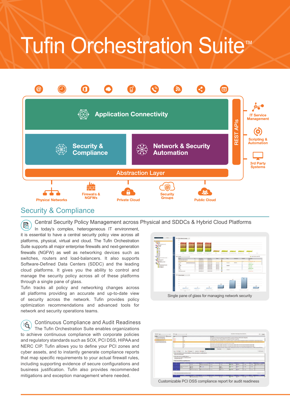## Tufin Orchestration Suite<sup>™</sup>



## Security & Compliance

Central Security Policy Management across Physical and SDDCs & Hybrid Cloud Platforms

富 In today's complex, heterogeneous IT environment, it is essential to have a central security policy view across all platforms, physical, virtual and cloud. The Tufin Orchestration Suite supports all major enterprise firewalls and next-generation firewalls (NGFW) as well as networking devices such as switches, routers and load-balancers. It also supports Software-Defined Data Centers (SDDC) and the leading cloud platforms. It gives you the ability to control and manage the security policy across all of these platforms through a single pane of glass.

Tufin tracks all policy and networking changes across all platforms providing an accurate and up-to-date view of security across the network. Tufin provides policy optimization recommendations and advanced tools for network and security operations teams.

Continuous Compliance and Audit Readiness  $\mathbb{F}_2$ The Tufin Orchestration Suite enables organizations to achieve continuous compliance with corporate policies and regulatory standards such as SOX, PCI DSS, HIPAA and NERC CIP. Tufin allows you to define your PCI zones and cyber assets, and to instantly generate compliance reports that map specific requirements to your actual firewall rules, including supporting evidence of secure configurations and business justification. Tufin also provides recommended mitigations and exception management where needed.





Customizable PCI DSS compliance report for audit readiness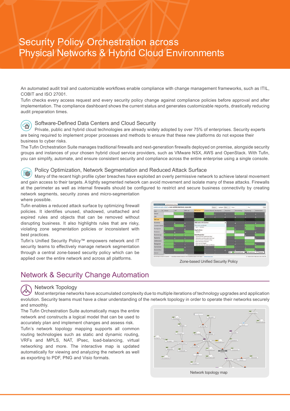## Security Policy Orchestration across Physical Networks & Hybrid Cloud Environments

An automated audit trail and customizable workflows enable compliance with change management frameworks, such as ITIL, COBIT and ISO 27001.

Tufin checks every access request and every security policy change against compliance policies before approval and after implementation. The compliance dashboard shows the current status and generates customizable reports, drastically reducing audit preparation times.



#### Software-Defined Data Centers and Cloud Security

Private, public and hybrid cloud technologies are already widely adopted by over 75% of enterprises. Security experts are being required to implement proper processes and methods to ensure that these new platforms do not expose their business to cyber risks.

The Tufin Orchestration Suite manages traditional firewalls and next-generation firewalls deployed on premise, alongside security groups and instances of your chosen hybrid cloud service providers, such as VMware NSX, AWS and OpenStack. With Tufin, you can simplify, automate, and ensure consistent security and compliance across the entire enterprise using a single console.

#### Policy Optimization, Network Segmentation and Reduced Attack Surface

(fø Many of the recent high profile cyber breaches have exploited an overly permissive network to achieve lateral movement and gain access to their targets. A tightly segmented network can avoid movement and isolate many of these attacks. Firewalls at the perimeter as well as internal firewalls should be configured to restrict and secure business connectivity by creating network segments, security zones and micro-segmentation where possible.

Tufin enables a reduced attack surface by optimizing firewall policies. It identifies unused, shadowed, unattached and expired rules and objects that can be removed without disrupting business. It also highlights rules that are risky, violating zone segmentation policies or inconsistent with best practices.

Tufin's Unified Security Policy™ empowers network and IT security teams to effectively manage network segmentation through a central zone-based security policy which can be applied over the entire network and across all platforms.



Zone-based Unified Security Policy

## Network & Security Change Automation

#### Network Topology

Most enterprise networks have accumulated complexity due to multiple iterations of technology upgrades and application evolution. Security teams must have a clear understanding of the network topology in order to operate their networks securely and smoothly.

The Tufin Orchestration Suite automatically maps the entire network and constructs a logical model that can be used to accurately plan and implement changes and assess risk.

Tufin's network topology mapping supports all common routing technologies such as static and dynamic routing, VRFs and MPLS, NAT, IPsec, load-balancing, virtual networking and more. The interactive map is updated automatically for viewing and analyzing the network as well as exporting to PDF, PNG and Visio formats.

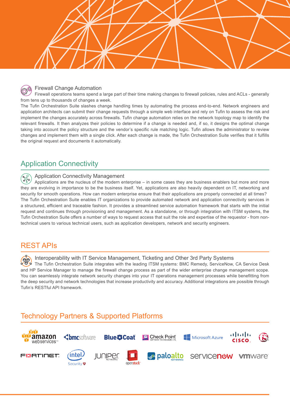



#### Firewall Change Automation

Firewall operations teams spend a large part of their time making changes to firewall policies, rules and ACLs - generally from tens up to thousands of changes a week.

The Tufin Orchestration Suite slashes change handling times by automating the process end-to-end. Network engineers and application architects can submit their change requests through a simple web interface and rely on Tufin to assess the risk and implement the changes accurately across firewalls. Tufin change automation relies on the network topology map to identify the relevant firewalls. It then analyzes their policies to determine if a change is needed and, if so, it designs the optimal change taking into account the policy structure and the vendor's specific rule matching logic. Tufin allows the administrator to review changes and implement them with a single click. After each change is made, the Tufin Orchestration Suite verifies that it fulfills the original request and documents it automatically.

## Application Connectivity

#### Application Connectivity Management 28

Applications are the nucleus of the modern enterprise – in some cases they are business enablers but more and more they are evolving in importance to be the business itself. Yet, applications are also heavily dependent on IT, networking and security for smooth operations. How can modern enterprise ensure that their applications are properly connected at all times? The Tufin Orchestration Suite enables IT organizations to provide automated network and application connectivity services in a structured, efficient and traceable fashion. It provides a streamlined service automation framework that starts with the initial request and continues through provisioning and management. As a standalone, or through integration with ITSM systems, the Tufin Orchestration Suite offers a number of ways to request access that suit the role and expertise of the requestor - from nontechnical users to various technical users, such as application developers, network and security engineers.

### REST APIs

Interoperability with IT Service Management, Ticketing and Other 3rd Party Systems The Tufin Orchestration Suite integrates with the leading ITSM systems: BMC Remedy, ServiceNow, CA Service Desk and HP Service Manager to manage the firewall change process as part of the wider enterprise change management scope. You can seamlessly integrate network security changes into your IT operations management processes while benefitting from the deep security and network technologies that increase productivity and accuracy. Additional integrations are possible through Tufin's RESTful API framework.

## Technology Partners & Supported Platforms